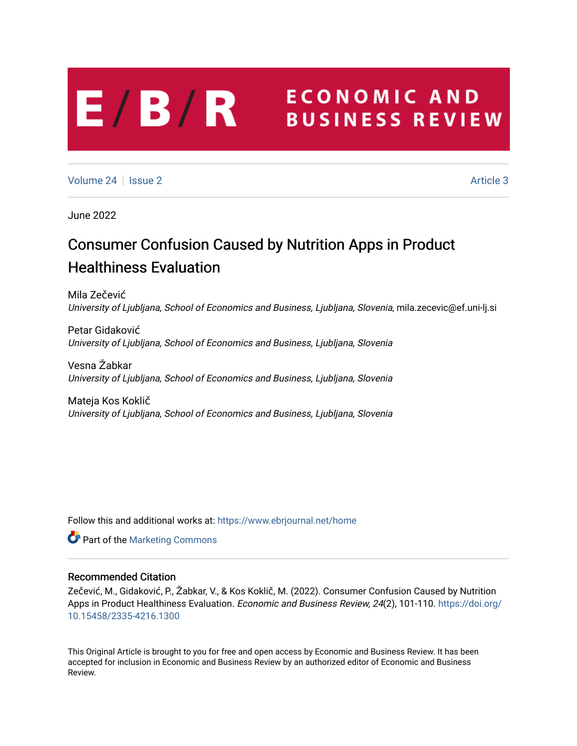# **ECONOMIC AND**  $E/B/R$ **BUSINESS REVIEW**

[Volume 24](https://www.ebrjournal.net/home/vol24) | [Issue 2](https://www.ebrjournal.net/home/vol24/iss2) Article 3

June 2022

# Consumer Confusion Caused by Nutrition Apps in Product Healthiness Evaluation

Mila Zečević University of Ljubljana, School of Economics and Business, Ljubljana, Slovenia, mila.zecevic@ef.uni-lj.si

Petar Gidaković University of Ljubljana, School of Economics and Business, Ljubljana, Slovenia

Vesna Žabkar University of Ljubljana, School of Economics and Business, Ljubljana, Slovenia

Mateja Kos Koklič University of Ljubljana, School of Economics and Business, Ljubljana, Slovenia

Follow this and additional works at: [https://www.ebrjournal.net/home](https://www.ebrjournal.net/home?utm_source=www.ebrjournal.net%2Fhome%2Fvol24%2Fiss2%2F3&utm_medium=PDF&utm_campaign=PDFCoverPages) 

**C** Part of the [Marketing Commons](https://network.bepress.com/hgg/discipline/638?utm_source=www.ebrjournal.net%2Fhome%2Fvol24%2Fiss2%2F3&utm_medium=PDF&utm_campaign=PDFCoverPages)

### Recommended Citation

Zečević, M., Gidaković, P., Žabkar, V., & Kos Koklič, M. (2022). Consumer Confusion Caused by Nutrition Apps in Product Healthiness Evaluation. Economic and Business Review, 24(2), 101-110. [https://doi.org/](https://doi.org/10.15458/2335-4216.1300) [10.15458/2335-4216.1300](https://doi.org/10.15458/2335-4216.1300) 

This Original Article is brought to you for free and open access by Economic and Business Review. It has been accepted for inclusion in Economic and Business Review by an authorized editor of Economic and Business Review.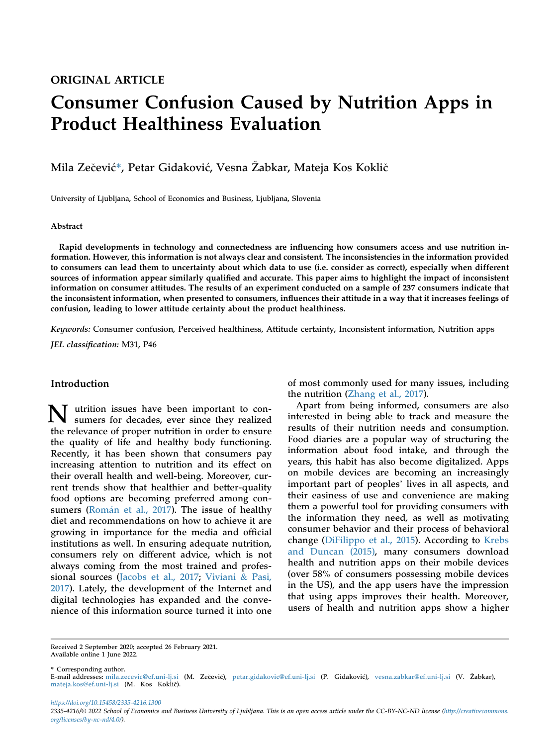## ORIGINAL ARTICLE

# Consumer Confusion Caused by Nutrition Apps in Product Healthiness Evaluation

Mila Zečević\*, Petar Gidaković, Vesna Žabkar, Mateja Kos Koklič

University of Ljubljana, School of Economics and Business, Ljubljana, Slovenia

#### Abstract

Rapid developments in technology and connectedness are influencing how consumers access and use nutrition information. However, this information is not always clear and consistent. The inconsistencies in the information provided to consumers can lead them to uncertainty about which data to use (i.e. consider as correct), especially when different sources of information appear similarly qualified and accurate. This paper aims to highlight the impact of inconsistent information on consumer attitudes. The results of an experiment conducted on a sample of 237 consumers indicate that the inconsistent information, when presented to consumers, influences their attitude in a way that it increases feelings of confusion, leading to lower attitude certainty about the product healthiness.

Keywords: Consumer confusion, Perceived healthiness, Attitude certainty, Inconsistent information, Nutrition apps

JEL classification: M31, P46

### Introduction

N utrition issues have been important to con-sumers for decades, ever since they realized the relevance of proper nutrition in order to ensure the quality of life and healthy body functioning. Recently, it has been shown that consumers pay increasing attention to nutrition and its effect on their overall health and well-being. Moreover, current trends show that healthier and better-quality food options are becoming preferred among consumers (Román et al., 2017). The issue of healthy diet and recommendations on how to achieve it are growing in importance for the media and official institutions as well. In ensuring adequate nutrition, consumers rely on different advice, which is not always coming from the most trained and professional sources [\(Jacobs et al., 2017;](#page-7-0) [Viviani](#page-8-1) & [Pasi,](#page-8-1) [2017\)](#page-8-1). Lately, the development of the Internet and digital technologies has expanded and the convenience of this information source turned it into one

of most commonly used for many issues, including the nutrition [\(Zhang et al., 2017\)](#page-8-2).

Apart from being informed, consumers are also interested in being able to track and measure the results of their nutrition needs and consumption. Food diaries are a popular way of structuring the information about food intake, and through the years, this habit has also become digitalized. Apps on mobile devices are becoming an increasingly years, this habit has also become digitalized. Apps<br>on mobile devices are becoming an increasingly<br>important part of peoples' lives in all aspects, and their easiness of use and convenience are making them a powerful tool for providing consumers with the information they need, as well as motivating consumer behavior and their process of behavioral change ([DiFilippo et al., 2015\)](#page-7-1). According to [Krebs](#page-8-3) [and Duncan \(2015\),](#page-8-3) many consumers download health and nutrition apps on their mobile devices (over 58% of consumers possessing mobile devices in the US), and the app users have the impression that using apps improves their health. Moreover, users of health and nutrition apps show a higher

Received 2 September 2020; accepted 26 February 2021. Available online 1 June 2022.

\* Corresponding author.

E-mail addresses: [mila.zecevic@ef.uni-lj.si](mailto:mila.zecevic@ef.uni-lj.si) (M. Zecevic), [petar.gidakovic@ef.uni-lj.si](mailto:petar.gidakovic@ef.uni-lj.si) (P. Gidakovic), [vesna.zabkar@ef.uni-lj.si](mailto:vesna.zabkar@ef.uni-lj.si) (V. Zabkar), [mateja.kos@ef.uni-lj.si](mailto:mateja.kos@ef.uni-lj.si) (M. Kos Koklic).

https://doi.org/10.15458/2335-4216.1300

2335-4216/© 2022 School of Economics and Business University of Ljubljana. This is an open access article under the CC-BY-NC-ND license [\(http://creativecommons.](http://creativecommons.org/licenses/by-nc-nd/4.0/) [org/licenses/by-nc-nd/4.0/](http://creativecommons.org/licenses/by-nc-nd/4.0/)).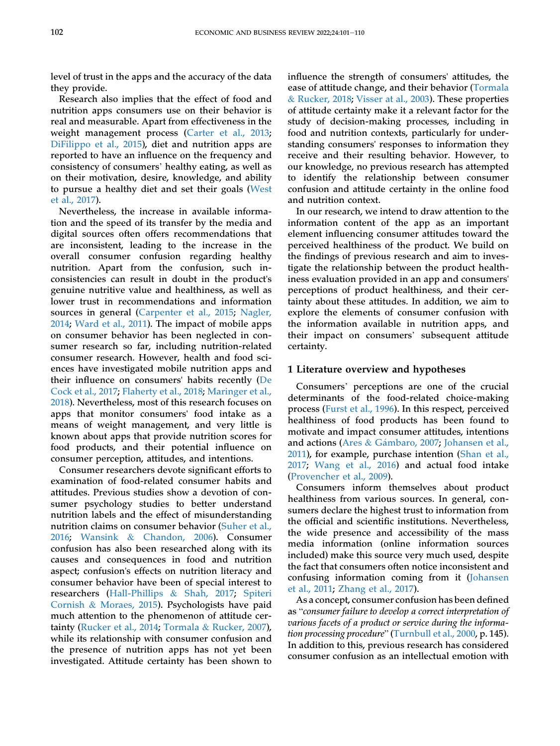level of trust in the apps and the accuracy of the data they provide.

Research also implies that the effect of food and nutrition apps consumers use on their behavior is real and measurable. Apart from effectiveness in the weight management process ([Carter et al., 2013;](#page-7-2) [DiFilippo et al., 2015](#page-7-1)), diet and nutrition apps are Dirinppo et al., 2015), diet and nutrition apps are<br>reported to have an influence on the frequency and<br>consistency of consumers' healthy eating, as well as on their motivation, desire, knowledge, and ability to pursue a healthy diet and set their goals [\(West](#page-8-4) [et al., 2017\)](#page-8-4).

Nevertheless, the increase in available information and the speed of its transfer by the media and digital sources often offers recommendations that are inconsistent, leading to the increase in the overall consumer confusion regarding healthy nutrition. Apart from the confusion, such inconsistencies can result in doubt in the product's genuine nutritive value and healthiness, as well as lower trust in recommendations and information sources in general ([Carpenter et al., 2015;](#page-7-3) [Nagler,](#page-8-5) [2014;](#page-8-5) [Ward et al., 2011\)](#page-8-6). The impact of mobile apps on consumer behavior has been neglected in consumer research so far, including nutrition-related consumer research. However, health and food sciences have investigated mobile nutrition apps and their influence on consumers' habits recently [\(De](#page-7-4) [Cock et al., 2017](#page-7-4); [Flaherty et al., 2018;](#page-7-5) [Maringer et al.,](#page-8-7) [2018\)](#page-8-7). Nevertheless, most of this research focuses on apps that monitor consumers' food intake as a means of weight management, and very little is known about apps that provide nutrition scores for food products, and their potential influence on consumer perception, attitudes, and intentions.

Consumer researchers devote significant efforts to examination of food-related consumer habits and attitudes. Previous studies show a devotion of consumer psychology studies to better understand nutrition labels and the effect of misunderstanding nutrition claims on consumer behavior [\(Suher et al.,](#page-8-8) [2016;](#page-8-8) [Wansink](#page-8-9) & [Chandon, 2006](#page-8-9)). Consumer confusion has also been researched along with its causes and consequences in food and nutrition aspect; confusion's effects on nutrition literacy and consumer behavior have been of special interest to researchers [\(Hall-Phillips](#page-7-6) & [Shah, 2017](#page-7-6); [Spiteri](#page-8-10) [Cornish](#page-8-10) & [Moraes, 2015\)](#page-8-10). Psychologists have paid much attention to the phenomenon of attitude certainty ([Rucker et al., 2014](#page-8-11); [Tormala](#page-8-12) & [Rucker, 2007](#page-8-12)), while its relationship with consumer confusion and the presence of nutrition apps has not yet been investigated. Attitude certainty has been shown to

influence the strength of consumers' attitudes, the ease of attitude change, and their behavior [\(Tormala](#page-8-13) & [Rucker, 2018;](#page-8-13) [Visser at al., 2003\)](#page-8-14). These properties of attitude certainty make it a relevant factor for the study of decision-making processes, including in food and nutrition contexts, particularly for understanding consumers' responses to information they receive and their resulting behavior. However, to our knowledge, no previous research has attempted to identify the relationship between consumer confusion and attitude certainty in the online food and nutrition context.

In our research, we intend to draw attention to the information content of the app as an important element influencing consumer attitudes toward the perceived healthiness of the product. We build on the findings of previous research and aim to investigate the relationship between the product healthiness evaluation provided in an app and consumers' perceptions of product healthiness, and their certainty about these attitudes. In addition, we aim to explore the elements of consumer confusion with the information available in nutrition apps, and explore the elements of consumer comusion with<br>the information available in nutrition apps, and<br>their impact on consumers' subsequent attitude certainty.

#### 1 Literature overview and hypotheses

Consumers' perceptions are one of the crucial determinants of the food-related choice-making process [\(Furst et al., 1996](#page-7-7)). In this respect, perceived healthiness of food products has been found to motivate and impact consumer attitudes, intentions and actions [\(Ares](#page-7-8) & Gámbaro, 2007; [Johansen et al.,](#page-8-15) [2011](#page-8-15)), for example, purchase intention ([Shan et al.,](#page-8-16) [2017](#page-8-16); [Wang et al., 2016](#page-8-17)) and actual food intake [\(Provencher et al., 2009](#page-8-18)).

Consumers inform themselves about product healthiness from various sources. In general, consumers declare the highest trust to information from the official and scientific institutions. Nevertheless, the wide presence and accessibility of the mass media information (online information sources included) make this source very much used, despite the fact that consumers often notice inconsistent and confusing information coming from it ([Johansen](#page-8-15) [et al., 2011](#page-8-15); [Zhang et al., 2017](#page-8-2)).

As a concept, consumer confusion has been defined as "consumer failure to develop a correct interpretation of various facets of a product or service during the informa-as consumer jutture to aevetop a correct interpretation of<br>various facets of a product or service during the informa-<br>tion processing procedure" ([Turnbull et al., 2000,](#page-8-19) p. 145). In addition to this, previous research has considered consumer confusion as an intellectual emotion with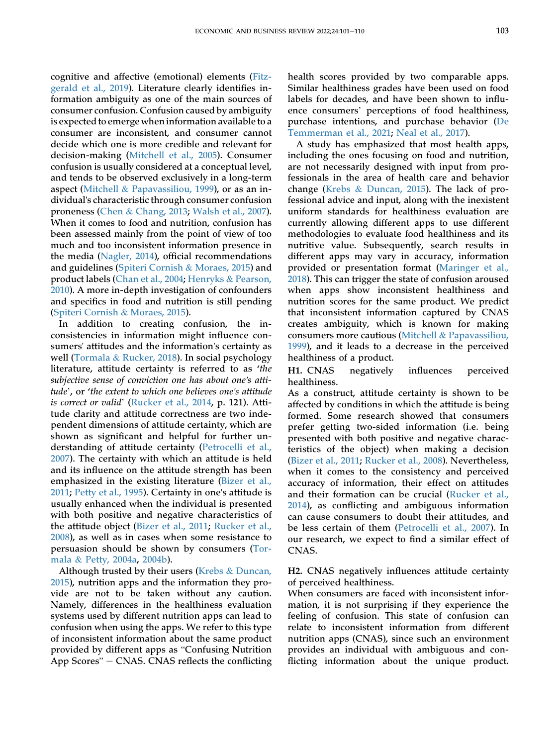cognitive and affective (emotional) elements ([Fitz](#page-7-9)[gerald et al., 2019\)](#page-7-9). Literature clearly identifies information ambiguity as one of the main sources of consumer confusion. Confusion caused by ambiguity is expected to emerge when information available to a consumer are inconsistent, and consumer cannot decide which one is more credible and relevant for decision-making [\(Mitchell et al., 2005\)](#page-8-20). Consumer confusion is usually considered at a conceptual level, and tends to be observed exclusively in a long-term aspect ([Mitchell](#page-8-21) & [Papavassiliou, 1999\)](#page-8-21), or as an individual's characteristic through consumer confusion proneness [\(Chen](#page-7-10) & [Chang, 2013;](#page-7-10) [Walsh et al., 2007](#page-8-22)). When it comes to food and nutrition, confusion has been assessed mainly from the point of view of too much and too inconsistent information presence in the media [\(Nagler, 2014](#page-8-5)), official recommendations and guidelines [\(Spiteri Cornish](#page-8-10) & [Moraes, 2015](#page-8-10)) and product labels ([Chan et al., 2004](#page-7-11); [Henryks](#page-7-12) & [Pearson,](#page-7-12) [2010\)](#page-7-12). A more in-depth investigation of confounders and specifics in food and nutrition is still pending [\(Spiteri Cornish](#page-8-10) & [Moraes, 2015\)](#page-8-10).

In addition to creating confusion, the inconsistencies in information might influence consumers' attitudes and the information's certainty as well ([Tormala](#page-8-13) & [Rucker, 2018](#page-8-13)). In social psychology literature, attitude certainty is referred to as 'the subjective sense of conviction one has about one's attitudeter and the extent to the extended to as the subjective sense of conviction one has about one's atti-<br>tude', or 'the extent to which one believes one's attitude tude', or 'the extent to which one believes one's attitude is correct or valid' ([Rucker et al., 2014,](#page-8-11) p. 121). Attitude clarity and attitude correctness are two independent dimensions of attitude certainty, which are shown as significant and helpful for further understanding of attitude certainty [\(Petrocelli et al.,](#page-8-23) [2007](#page-8-23)). The certainty with which an attitude is held and its influence on the attitude strength has been emphasized in the existing literature [\(Bizer et al.,](#page-7-13) [2011](#page-7-13); [Petty et al., 1995](#page-8-24)). Certainty in one's attitude is usually enhanced when the individual is presented with both positive and negative characteristics of the attitude object [\(Bizer et al., 2011;](#page-7-13) [Rucker et al.,](#page-8-25) [2008](#page-8-25)), as well as in cases when some resistance to persuasion should be shown by consumers [\(Tor](#page-8-26)[mala](#page-8-26) & [Petty, 2004a,](#page-8-26) [2004b\)](#page-8-27).

Although trusted by their users [\(Krebs](#page-8-3) & [Duncan,](#page-8-3) [2015\)](#page-8-3), nutrition apps and the information they provide are not to be taken without any caution. Namely, differences in the healthiness evaluation systems used by different nutrition apps can lead to confusion when using the apps. We refer to this type of inconsistent information about the same product contusion when using the apps. we refer to this type<br>of inconsistent information about the same product<br>provided by different apps as "Confusing Nutrition or inconsistent information about the same product<br>provided by different apps as "Confusing Nutrition<br>App Scores" – CNAS. CNAS reflects the conflicting

health scores provided by two comparable apps. Similar healthiness grades have been used on food labels for decades, and have been shown to influence consumers' perceptions of food healthiness, purchase intentions, and purchase behavior [\(De](#page-7-14) [Temmerman et al., 2021](#page-7-14); [Neal et al., 2017\)](#page-8-28).

A study has emphasized that most health apps, including the ones focusing on food and nutrition, are not necessarily designed with input from professionals in the area of health care and behavior change [\(Krebs](#page-8-3) & [Duncan, 2015](#page-8-3)). The lack of professional advice and input, along with the inexistent uniform standards for healthiness evaluation are currently allowing different apps to use different methodologies to evaluate food healthiness and its nutritive value. Subsequently, search results in different apps may vary in accuracy, information provided or presentation format [\(Maringer et al.,](#page-8-7) [2018](#page-8-7)). This can trigger the state of confusion aroused when apps show inconsistent healthiness and nutrition scores for the same product. We predict that inconsistent information captured by CNAS creates ambiguity, which is known for making consumers more cautious [\(Mitchell](#page-8-21) & [Papavassiliou,](#page-8-21) [1999](#page-8-21)), and it leads to a decrease in the perceived healthiness of a product.

<span id="page-3-0"></span>H1. CNAS negatively influences perceived healthiness.

As a construct, attitude certainty is shown to be affected by conditions in which the attitude is being formed. Some research showed that consumers prefer getting two-sided information (i.e. being presented with both positive and negative characteristics of the object) when making a decision [\(Bizer et al., 2011;](#page-7-13) [Rucker et al., 2008\)](#page-8-25). Nevertheless, when it comes to the consistency and perceived accuracy of information, their effect on attitudes and their formation can be crucial [\(Rucker et al.,](#page-8-11) [2014](#page-8-11)), as conflicting and ambiguous information can cause consumers to doubt their attitudes, and be less certain of them [\(Petrocelli et al., 2007\)](#page-8-23). In our research, we expect to find a similar effect of CNAS.

<span id="page-3-1"></span>H2. CNAS negatively influences attitude certainty of perceived healthiness.

When consumers are faced with inconsistent information, it is not surprising if they experience the feeling of confusion. This state of confusion can relate to inconsistent information from different nutrition apps (CNAS), since such an environment provides an individual with ambiguous and conflicting information about the unique product.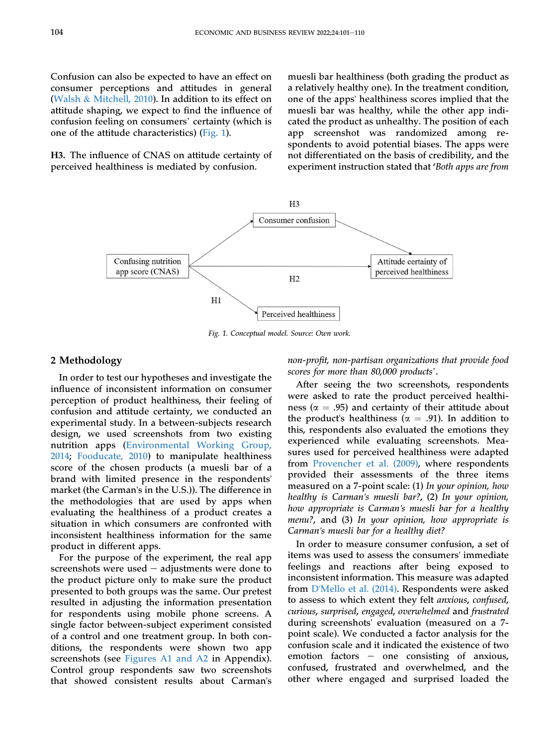Confusion can also be expected to have an effect on consumer perceptions and attitudes in general [\(Walsh](#page-8-29) & [Mitchell, 2010\)](#page-8-29). In addition to its effect on attitude shaping, we expect to find the influence of confusion feeling on consumers' certainty (which is one of the attitude characteristics) ([Fig. 1](#page-4-0)).

<span id="page-4-0"></span>H3. The influence of CNAS on attitude certainty of perceived healthiness is mediated by confusion.

muesli bar healthiness (both grading the product as a relatively healthy one). In the treatment condition, one of the apps' healthiness scores implied that the muesli bar was healthy, while the other app indicated the product as unhealthy. The position of each app screenshot was randomized among respondents to avoid potential biases. The apps were not differentiated on the basis of credibility, and the experiment instruction stated that 'Both apps are from



Fig. 1. Conceptual model. Source: Own work.

#### 2 Methodology

In order to test our hypotheses and investigate the influence of inconsistent information on consumer perception of product healthiness, their feeling of confusion and attitude certainty, we conducted an experimental study. In a between-subjects research design, we used screenshots from two existing nutrition apps [\(Environmental Working Group,](#page-7-15) [2014;](#page-7-15) [Fooducate, 2010](#page-7-16)) to manipulate healthiness score of the chosen products (a muesli bar of a brand with limited presence in the respondents' market (the Carman's in the U.S.)). The difference in the methodologies that are used by apps when evaluating the healthiness of a product creates a situation in which consumers are confronted with inconsistent healthiness information for the same product in different apps.

For the purpose of the experiment, the real app screenshots were used  $-$  adjustments were done to the product picture only to make sure the product presented to both groups was the same. Our pretest resulted in adjusting the information presentation for respondents using mobile phone screens. A single factor between-subject experiment consisted of a control and one treatment group. In both conditions, the respondents were shown two app screenshots (see [Figures A1 and A2](#page-9-0) in Appendix). Control group respondents saw two screenshots that showed consistent results about Carman's

non-profit, non-partisan organizations that provide food scores for more than 80,000 products'.

After seeing the two screenshots, respondents were asked to rate the product perceived healthiness ( $\alpha$  = .95) and certainty of their attitude about the product's healthiness ( $\alpha = .91$ ). In addition to this, respondents also evaluated the emotions they experienced while evaluating screenshots. Measures used for perceived healthiness were adapted from [Provencher et al. \(2009\),](#page-8-18) where respondents provided their assessments of the three items measured on a 7-point scale: (1) In your opinion, how healthy is Carman's muesli bar?, (2) In your opinion, how appropriate is Carman's muesli bar for a healthy menu?, and (3) In your opinion, how appropriate is Carman's muesli bar for a healthy diet?

In order to measure consumer confusion, a set of items was used to assess the consumers' immediate feelings and reactions after being exposed to inconsistent information. This measure was adapted from D'[Mello et al. \(2014\)](#page-7-17). Respondents were asked to assess to which extent they felt anxious, confused, curious, surprised, engaged, overwhelmed and frustrated during screenshots' evaluation (measured on a 7 point scale). We conducted a factor analysis for the confusion scale and it indicated the existence of two emotion factors  $-$  one consisting of anxious, confused, frustrated and overwhelmed, and the other where engaged and surprised loaded the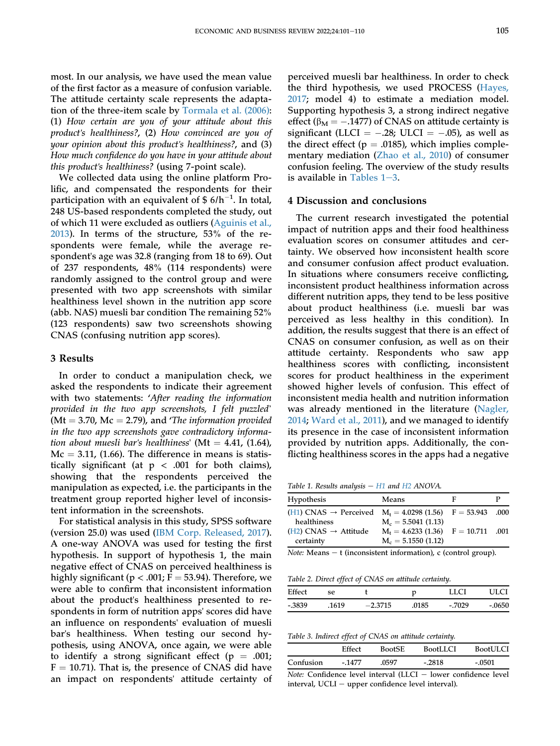most. In our analysis, we have used the mean value of the first factor as a measure of confusion variable. The attitude certainty scale represents the adaptation of the three-item scale by [Tormala et al. \(2006\):](#page-8-30) (1) How certain are you of your attitude about this product's healthiness?, (2) How convinced are you of your opinion about this product's healthiness?, and (3) How much confidence do you have in your attitude about this product's healthiness? (using 7-point scale).

We collected data using the online platform Prolific, and compensated the respondents for their participation with an equivalent of \$  $6/h^{-1}$ . In total, 248 US-based respondents completed the study, out of which 11 were excluded as outliers ([Aguinis et al.,](#page-7-18) [2013\)](#page-7-18). In terms of the structure, 53% of the respondents were female, while the average respondent's age was 32.8 (ranging from 18 to 69). Out of 237 respondents, 48% (114 respondents) were randomly assigned to the control group and were presented with two app screenshots with similar healthiness level shown in the nutrition app score (abb. NAS) muesli bar condition The remaining 52% (123 respondents) saw two screenshots showing CNAS (confusing nutrition app scores).

#### 3 Results

In order to conduct a manipulation check, we asked the respondents to indicate their agreement asked the respondents to malcate their agreement<br>with two statements: 'After reading the information<br>provided in the two app screenshots, I felt puzzled' ( $Mt = 3.70$ ,  $Mc = 2.79$ ), and 'The information provided in the two app screenshots gave contradictory information about muesli bar's healthiness' (Mt = 4.41, (1.64),  $Mc = 3.11, (1.66)$ . The difference in means is statistically significant (at  $p < .001$  for both claims), showing that the respondents perceived the manipulation as expected, i.e. the participants in the treatment group reported higher level of inconsistent information in the screenshots.

For statistical analysis in this study, SPSS software (version 25.0) was used ([IBM Corp. Released, 2017](#page-7-19)). A one-way ANOVA was used for testing the first hypothesis. In support of hypothesis 1, the main negative effect of CNAS on perceived healthiness is highly significant ( $p < .001$ ; F = 53.94). Therefore, we were able to confirm that inconsistent information about the product's healthiness presented to respondents in form of nutrition apps' scores did have an influence on respondents' evaluation of muesli bar's healthiness. When testing our second hypothesis, using ANOVA, once again, we were able to identify a strong significant effect ( $p = .001$ ;  $F = 10.71$ ). That is, the presence of CNAS did have an impact on respondents' attitude certainty of perceived muesli bar healthiness. In order to check the third hypothesis, we used PROCESS ([Hayes,](#page-7-20) [2017](#page-7-20); model 4) to estimate a mediation model. Supporting hypothesis 3, a strong indirect negative effect ( $\beta_M = -.1477$ ) of CNAS on attitude certainty is significant (LLCI =  $-.28$ ; ULCI =  $-.05$ ), as well as the direct effect ( $p = .0185$ ), which implies complementary mediation ([Zhao et al., 2010\)](#page-8-31) of consumer confusion feeling. The overview of the study results is available in Tables  $1-3$ .

#### 4 Discussion and conclusions

The current research investigated the potential impact of nutrition apps and their food healthiness evaluation scores on consumer attitudes and certainty. We observed how inconsistent health score and consumer confusion affect product evaluation. In situations where consumers receive conflicting, inconsistent product healthiness information across different nutrition apps, they tend to be less positive about product healthiness (i.e. muesli bar was perceived as less healthy in this condition). In addition, the results suggest that there is an effect of CNAS on consumer confusion, as well as on their attitude certainty. Respondents who saw app healthiness scores with conflicting, inconsistent scores for product healthiness in the experiment showed higher levels of confusion. This effect of inconsistent media health and nutrition information was already mentioned in the literature ([Nagler,](#page-8-5) [2014](#page-8-5); [Ward et al., 2011](#page-8-6)), and we managed to identify its presence in the case of inconsistent information provided by nutrition apps. Additionally, the conflicting healthiness scores in the apps had a negative

<span id="page-5-0"></span>Table 1. Results analysis  $-$  [H1](#page-3-0) and [H2](#page-3-1) ANOVA.

| <b>Hypothesis</b>                                                                               | Means                                                          | F |  |
|-------------------------------------------------------------------------------------------------|----------------------------------------------------------------|---|--|
| (H1) CNAS $\rightarrow$ Perceived M <sub>t</sub> = 4.0298 (1.56) F = 53.943 .000<br>healthiness | $M_c = 5.5041(1.13)$                                           |   |  |
| $(H2)$ CNAS $\rightarrow$ Attitude<br>certainty                                                 | $M_t = 4.6233(1.36)$ $F = 10.711$ .001<br>$M_c = 5.1550(1.12)$ |   |  |
| <i>Note:</i> Means $-$ t (inconsistent information), c (control group).                         |                                                                |   |  |

Table 2. Direct effect of CNAS on attitude certainty.

|        | --    |           |       |          |          |
|--------|-------|-----------|-------|----------|----------|
| Effect | se.   |           | n     | LLCI     | ULCI     |
| -.3839 | .1619 | $-2.3715$ | .0185 | $-.7029$ | $-.0650$ |
|        |       |           |       |          |          |

Table 3. Indirect effect of CNAS on attitude certainty.

|           | Effect  | <b>BootSE</b> | BootLLCI | <b>BootULCI</b> |
|-----------|---------|---------------|----------|-----------------|
| Confusion | $-1477$ | .0597         | $-.2818$ | - 0501          |

 $\overline{Note: Confidence}$  level interval (LLCI - lower confidence level interval, UCLI - upper confidence level interval).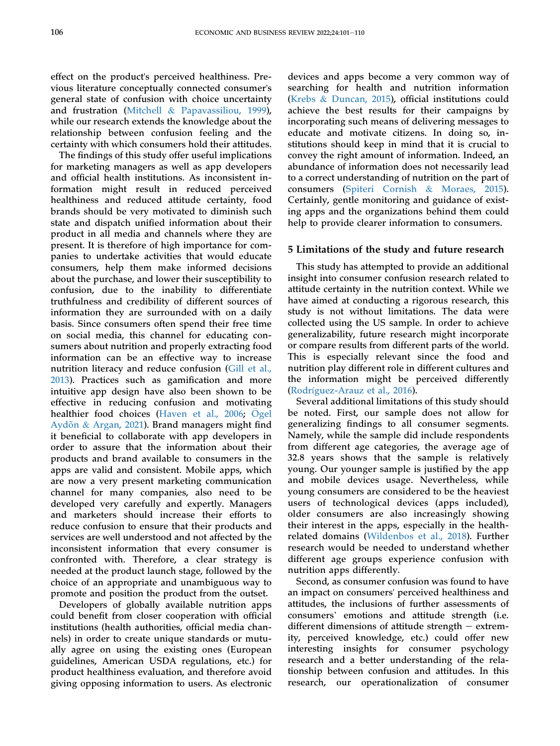effect on the product's perceived healthiness. Previous literature conceptually connected consumer's general state of confusion with choice uncertainty and frustration ([Mitchell](#page-8-21) & [Papavassiliou, 1999](#page-8-21)), while our research extends the knowledge about the relationship between confusion feeling and the certainty with which consumers hold their attitudes.

The findings of this study offer useful implications for marketing managers as well as app developers and official health institutions. As inconsistent information might result in reduced perceived healthiness and reduced attitude certainty, food brands should be very motivated to diminish such state and dispatch unified information about their product in all media and channels where they are present. It is therefore of high importance for companies to undertake activities that would educate consumers, help them make informed decisions about the purchase, and lower their susceptibility to confusion, due to the inability to differentiate truthfulness and credibility of different sources of information they are surrounded with on a daily basis. Since consumers often spend their free time on social media, this channel for educating consumers about nutrition and properly extracting food information can be an effective way to increase nutrition literacy and reduce confusion ([Gill et al.,](#page-7-21) [2013\)](#page-7-21). Practices such as gamification and more intuitive app design have also been shown to be effective in reducing confusion and motivating healthier food choices [\(Haven et al., 2006;](#page-7-22) O[gel](#page-8-32) [Aydõn](#page-8-32) & [Argan, 2021\)](#page-8-32). Brand managers might find it beneficial to collaborate with app developers in order to assure that the information about their products and brand available to consumers in the apps are valid and consistent. Mobile apps, which are now a very present marketing communication channel for many companies, also need to be developed very carefully and expertly. Managers and marketers should increase their efforts to reduce confusion to ensure that their products and services are well understood and not affected by the inconsistent information that every consumer is confronted with. Therefore, a clear strategy is needed at the product launch stage, followed by the choice of an appropriate and unambiguous way to promote and position the product from the outset.

Developers of globally available nutrition apps could benefit from closer cooperation with official institutions (health authorities, official media channels) in order to create unique standards or mutually agree on using the existing ones (European guidelines, American USDA regulations, etc.) for product healthiness evaluation, and therefore avoid giving opposing information to users. As electronic

devices and apps become a very common way of searching for health and nutrition information [\(Krebs](#page-8-3) & [Duncan, 2015\)](#page-8-3), official institutions could achieve the best results for their campaigns by incorporating such means of delivering messages to educate and motivate citizens. In doing so, institutions should keep in mind that it is crucial to convey the right amount of information. Indeed, an abundance of information does not necessarily lead to a correct understanding of nutrition on the part of consumers ([Spiteri Cornish](#page-8-10) & [Moraes, 2015\)](#page-8-10). Certainly, gentle monitoring and guidance of existing apps and the organizations behind them could help to provide clearer information to consumers.

#### 5 Limitations of the study and future research

This study has attempted to provide an additional insight into consumer confusion research related to attitude certainty in the nutrition context. While we have aimed at conducting a rigorous research, this study is not without limitations. The data were collected using the US sample. In order to achieve generalizability, future research might incorporate or compare results from different parts of the world. This is especially relevant since the food and nutrition play different role in different cultures and the information might be perceived differently (Rodrí[guez-Arauz et al., 2016](#page-8-33)).

Several additional limitations of this study should be noted. First, our sample does not allow for generalizing findings to all consumer segments. Namely, while the sample did include respondents from different age categories, the average age of 32.8 years shows that the sample is relatively young. Our younger sample is justified by the app and mobile devices usage. Nevertheless, while young consumers are considered to be the heaviest users of technological devices (apps included), older consumers are also increasingly showing their interest in the apps, especially in the healthrelated domains [\(Wildenbos et al., 2018](#page-8-34)). Further research would be needed to understand whether different age groups experience confusion with nutrition apps differently.

Second, as consumer confusion was found to have an impact on consumers' perceived healthiness and attitudes, the inclusions of further assessments of consumers' emotions and attitude strength (i.e. different dimensions of attitude strength  $-$  extremity, perceived knowledge, etc.) could offer new interesting insights for consumer psychology research and a better understanding of the relationship between confusion and attitudes. In this research, our operationalization of consumer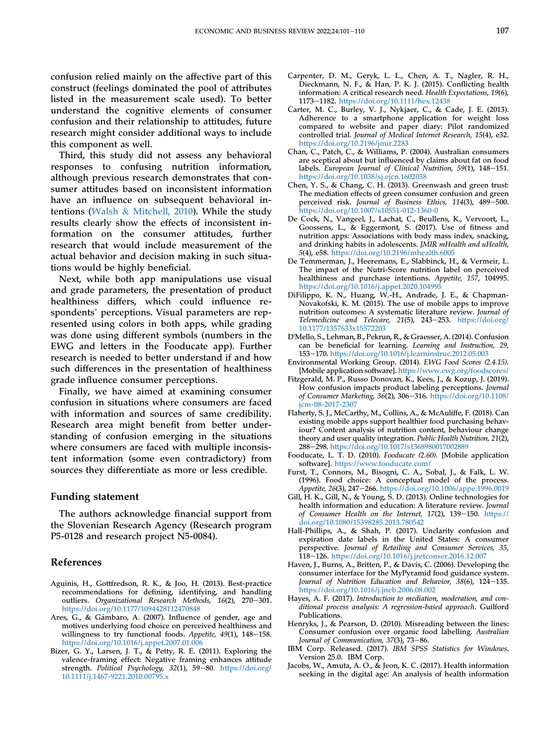confusion relied mainly on the affective part of this construct (feelings dominated the pool of attributes listed in the measurement scale used). To better understand the cognitive elements of consumer confusion and their relationship to attitudes, future research might consider additional ways to include this component as well.

Third, this study did not assess any behavioral responses to confusing nutrition information, although previous research demonstrates that consumer attitudes based on inconsistent information have an influence on subsequent behavioral intentions [\(Walsh](#page-8-29) & [Mitchell, 2010](#page-8-29)). While the study results clearly show the effects of inconsistent information on the consumer attitudes, further research that would include measurement of the actual behavior and decision making in such situations would be highly beneficial.

Next, while both app manipulations use visual and grade parameters, the presentation of product healthiness differs, which could influence re-spondents' perceptions. Visual parameters are represented using colors in both apps, while grading was done using different symbols (numbers in the EWG and letters in the Fooducate app). Further research is needed to better understand if and how such differences in the presentation of healthiness grade influence consumer perceptions.

Finally, we have aimed at examining consumer confusion in situations where consumers are faced with information and sources of same credibility. Research area might benefit from better understanding of confusion emerging in the situations where consumers are faced with multiple inconsistent information (some even contradictory) from sources they differentiate as more or less credible.

#### Funding statement

The authors acknowledge financial support from the Slovenian Research Agency (Research program P5-0128 and research project N5-0084).

#### References

- <span id="page-7-18"></span>Aguinis, H., Gottfredson, R. K., & Joo, H. (2013). Best-practice recommendations for defining, identifying, and handling outliers. Organizational Research Methods, 16(2), 270-301. <https://doi.org/10.1177/1094428112470848>
- <span id="page-7-8"></span>Ares, G., & Gámbaro, A. (2007). Influence of gender, age and motives underlying food choice on perceived healthiness and willingness to try functional foods. Appetite,  $49(1)$ ,  $148-158$ . <https://doi.org/10.1016/j.appet.2007.01.006>
- <span id="page-7-13"></span>Bizer, G. Y., Larsen, J. T., & Petty, R. E. (2011). Exploring the valence-framing effect: Negative framing enhances attitude strength. Political Psychology, 32(1), 59-80. [https://doi.org/](https://doi.org/10.1111/j.1467-9221.2010.00795.x) [10.1111/j.1467-9221.2010.00795.x](https://doi.org/10.1111/j.1467-9221.2010.00795.x)
- <span id="page-7-3"></span>Carpenter, D. M., Geryk, L. L., Chen, A. T., Nagler, R. H., Dieckmann, N. F., & Han, P. K. J. (2015). Conflicting health information: A critical research need. Health Expectations, 19(6), 1173-1182. <https://doi.org/10.1111/hex.12438>
- <span id="page-7-2"></span>Carter, M. C., Burley, V. J., Nykjaer, C., & Cade, J. E. (2013). Adherence to a smartphone application for weight loss compared to website and paper diary: Pilot randomized controlled trial. Journal of Medical Internet Research, 15(4), e32. <https://doi.org/10.2196/jmir.2283>
- <span id="page-7-11"></span>Chan, C., Patch, C., & Williams, P. (2004). Australian consumers are sceptical about but influenced by claims about fat on food labels. European Journal of Clinical Nutrition, 59(1), 148-151. <https://doi.org/10.1038/sj.ejcn.1602038>
- <span id="page-7-10"></span>Chen, Y. S., & Chang, C. H. (2013). Greenwash and green trust: The mediation effects of green consumer confusion and green perceived risk. Journal of Business Ethics, 114(3), 489-500. <https://doi.org/10.1007/s10551-012-1360-0>
- <span id="page-7-4"></span>De Cock, N., Vangeel, J., Lachat, C., Beullens, K., Vervoort, L., Goossens, L., & Eggermont, S. (2017). Use of fitness and nutrition apps: Associations with body mass index, snacking, and drinking habits in adolescents. JMIR mHealth and uHealth, 5(4), e58. <https://doi.org/10.2196/mhealth.6005>
- <span id="page-7-14"></span>De Temmerman, J., Heeremans, E., Slabbinck, H., & Vermeir, I.. The impact of the Nutri-Score nutrition label on perceived healthiness and purchase intentions. Appetite, 157, 104995. <https://doi.org/10.1016/j.appet.2020.104995>
- <span id="page-7-1"></span>DiFilippo, K. N., Huang, W.-H., Andrade, J. E., & Chapman-Novakofski, K. M. (2015). The use of mobile apps to improve nutrition outcomes: A systematic literature review. Journal of Telemedicine and Telecare, 21(5), 243-253. [https://doi.org/](https://doi.org/10.1177/1357633x15572203) [10.1177/1357633x15572203](https://doi.org/10.1177/1357633x15572203)
- <span id="page-7-17"></span>D'Mello, S., Lehman, B., Pekrun, R., & Graesser, A. (2014). Confusion can be beneficial for learning. Learning and Instruction, 29, 153e170. <https://doi.org/10.1016/j.learninstruc.2012.05.003>
- <span id="page-7-15"></span>Environmental Working Group. (2014). EWG Food Scores (2.4.15). [Mobile application software]. <https://www.ewg.org/foodscores/>
- <span id="page-7-9"></span>Fitzgerald, M. P., Russo Donovan, K., Kees, J., & Kozup, J. (2019). How confusion impacts product labeling perceptions. Journal of Consumer Marketing, 36(2), 306-316. [https://doi.org/10.1108/](https://doi.org/10.1108/jcm-08-2017-2307) [jcm-08-2017-2307](https://doi.org/10.1108/jcm-08-2017-2307)
- <span id="page-7-5"></span>Flaherty, S. J., McCarthy, M., Collins, A., & McAuliffe, F. (2018). Can existing mobile apps support healthier food purchasing behaviour? Content analysis of nutrition content, behaviour change theory and user quality integration. Public Health Nutrition, 21(2), 288-298. <https://doi.org/10.1017/s1368980017002889>
- <span id="page-7-16"></span>Fooducate, L. T. D. (2010). Fooducate (2.60). [Mobile application software]. <https://www.fooducate.com/>
- <span id="page-7-7"></span>Furst, T., Connors, M., Bisogni, C. A., Sobal, J., & Falk, L. W. (1996). Food choice: A conceptual model of the process. Appetite, 26(3), 247-266. <https://doi.org/10.1006/appe.1996.0019>
- <span id="page-7-21"></span>Gill, H. K., Gill, N., & Young, S. D. (2013). Online technologies for health information and education: A literature review. Journal of Consumer Health on the Internet, 17(2), 139-150. [https://](https://doi.org/10.1080/15398285.2013.780542) [doi.org/10.1080/15398285.2013.780542](https://doi.org/10.1080/15398285.2013.780542)
- <span id="page-7-6"></span>Hall-Phillips, A., & Shah, P. (2017). Unclarity confusion and expiration date labels in the United States: A consumer perspective. Journal of Retailing and Consumer Services, 35, 118e126. <https://doi.org/10.1016/j.jretconser.2016.12.007>
- <span id="page-7-22"></span>Haven, J., Burns, A., Britten, P., & Davis, C. (2006). Developing the consumer interface for the MyPyramid food guidance system. Journal of Nutrition Education and Behavior, 38(6), 124–135. <https://doi.org/10.1016/j.jneb.2006.08.002>
- <span id="page-7-20"></span>Hayes, A. F. (2017). Introduction to mediation, moderation, and conditional process analysis: A regression-based approach. Guilford Publications.
- <span id="page-7-12"></span>Henryks, J., & Pearson, D. (2010). Misreading between the lines: Consumer confusion over organic food labelling. Australian Journal of Communication, 37(3), 73-86.
- <span id="page-7-19"></span>IBM Corp. Released. (2017). IBM SPSS Statistics for Windows. Version 25.0. IBM Corp.
- <span id="page-7-0"></span>Jacobs, W., Amuta, A. O., & Jeon, K. C. (2017). Health information seeking in the digital age: An analysis of health information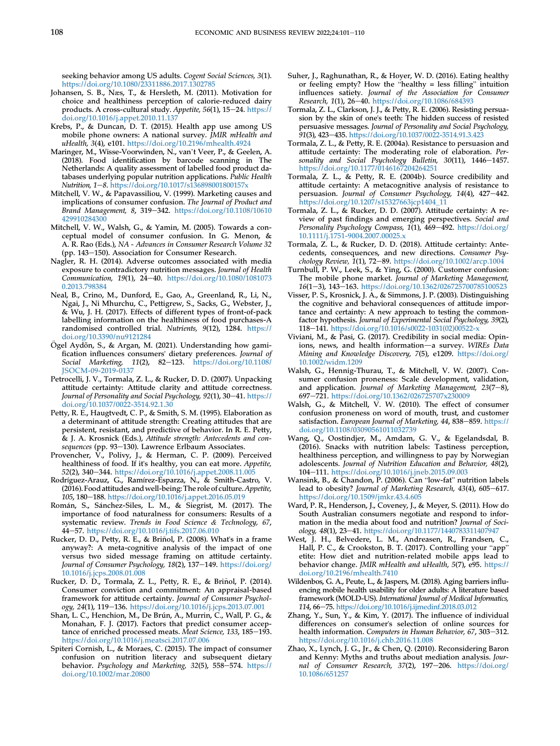seeking behavior among US adults. Cogent Social Sciences, 3(1). <https://doi.org/10.1080/23311886.2017.1302785>

- <span id="page-8-15"></span>Johansen, S. B., Næs, T., & Hersleth, M. (2011). Motivation for choice and healthiness perception of calorie-reduced dairy products. A cross-cultural study. Appetite, 56(1), 15-24. [https://](https://doi.org/10.1016/j.appet.2010.11.137) [doi.org/10.1016/j.appet.2010.11.137](https://doi.org/10.1016/j.appet.2010.11.137)
- <span id="page-8-3"></span>Krebs, P., & Duncan, D. T. (2015). Health app use among US mobile phone owners: A national survey. JMIR mHealth and uHealth, 3(4), e101. <https://doi.org/10.2196/mhealth.4924>
- <span id="page-8-7"></span>Maringer, M., Wisse-Voorwinden, N., van't Veer, P., & Geelen, A. (2018). Food identification by barcode scanning in The Netherlands: A quality assessment of labelled food product databases underlying popular nutrition applications. Public Health Nutrition, 1-8. <https://doi.org/10.1017/s136898001800157x>
- <span id="page-8-21"></span>Mitchell, V. W., & Papavassiliou, V. (1999). Marketing causes and implications of consumer confusion. The Journal of Product and Brand Management, 8, 319-342. [https://doi.org/10.1108/10610](https://doi.org/10.1108/10610429910284300) [429910284300](https://doi.org/10.1108/10610429910284300)
- <span id="page-8-20"></span>Mitchell, V. W., Walsh, G., & Yamin, M. (2005). Towards a conceptual model of consumer confusion. In G. Menon, & A. R. Rao (Eds.), NA - Advances in Consumer Research Volume 32 (pp. 143-150). Association for Consumer Research.
- <span id="page-8-5"></span>Nagler, R. H. (2014). Adverse outcomes associated with media exposure to contradictory nutrition messages. Journal of Health Communication, 19(1), 24-40. [https://doi.org/10.1080/1081073](https://doi.org/10.1080/10810730.2013.798384) [0.2013.798384](https://doi.org/10.1080/10810730.2013.798384)
- <span id="page-8-28"></span>Neal, B., Crino, M., Dunford, E., Gao, A., Greenland, R., Li, N., Ngai, J., Ni Mhurchu, C., Pettigrew, S., Sacks, G., Webster, J., & Wu, J. H. (2017). Effects of different types of front-of-pack labelling information on the healthiness of food purchases-A randomised controlled trial. Nutrients, 9(12), 1284. [https://](https://doi.org/10.3390/nu9121284) [doi.org/10.3390/nu9121284](https://doi.org/10.3390/nu9121284)
- <span id="page-8-32"></span> $O$ gel Aydõn, S., & Argan, M. (2021). Understanding how gamification influences consumers' dietary preferences. Journal of Social Marketing, 11(2), 82-123. [https://doi.org/10.1108/](https://doi.org/10.1108/JSOCM-09-2019-0137) [JSOCM-09-2019-0137](https://doi.org/10.1108/JSOCM-09-2019-0137)
- <span id="page-8-23"></span>Petrocelli, J. V., Tormala, Z. L., & Rucker, D. D. (2007). Unpacking attitude certainty: Attitude clarity and attitude correctness. Journal of Personality and Social Psychology, 92(1), 30-41. [https://](https://doi.org/10.1037/0022-3514.92.1.30) [doi.org/10.1037/0022-3514.92.1.30](https://doi.org/10.1037/0022-3514.92.1.30)
- <span id="page-8-24"></span>Petty, R. E., Haugtvedt, C. P., & Smith, S. M. (1995). Elaboration as a determinant of attitude strength: Creating attitudes that are persistent, resistant, and predictive of behavior. In R. E. Petty, & J. A. Krosnick (Eds.), Attitude strength: Antecedents and consequences (pp. 93-130). Lawrence Erlbaum Associates.
- <span id="page-8-18"></span>Provencher,  $\dot{V}$ ., Polivy, J., & Herman, C. P. (2009). Perceived healthiness of food. If it's healthy, you can eat more. Appetite, 52(2), 340–344. <https://doi.org/10.1016/j.appet.2008.11.005>
- <span id="page-8-33"></span>Rodríguez-Arauz, G., Ramírez-Esparza, N., & Smith-Castro, V. (2016). Food attitudes and well-being: The role of culture.Appetite, 105, 180-188. <https://doi.org/10.1016/j.appet.2016.05.019>
- <span id="page-8-0"></span>Román, S., Sánchez-Siles, L. M., & Siegrist, M. (2017). The importance of food naturalness for consumers: Results of a systematic review. Trends in Food Science & Technology, 67, 44e57. <https://doi.org/10.1016/j.tifs.2017.06.010>
- <span id="page-8-25"></span>Rucker, D. D., Petty, R. E., & Brinol, P. (2008). What's in a frame anyway?: A meta-cognitive analysis of the impact of one versus two sided message framing on attitude certainty. Journal of Consumer Psychology, 18(2), 137-149. [https://doi.org/](https://doi.org/10.1016/j.jcps.2008.01.008) [10.1016/j.jcps.2008.01.008](https://doi.org/10.1016/j.jcps.2008.01.008)
- <span id="page-8-11"></span>Rucker, D. D., Tormala, Z. L., Petty, R. E., & Brinol, P. (2014). ~ Consumer conviction and commitment: An appraisal-based framework for attitude certainty. Journal of Consumer Psychology, 24(1), 119-136. <https://doi.org/10.1016/j.jcps.2013.07.001>
- <span id="page-8-16"></span>Shan, L. C., Henchion, M., De Brún, A., Murrin, C., Wall, P. G., & Monahan, F. J. (2017). Factors that predict consumer acceptance of enriched processed meats. Meat Science, 133, 185-193. <https://doi.org/10.1016/j.meatsci.2017.07.006>
- <span id="page-8-10"></span>Spiteri Cornish, L., & Moraes, C. (2015). The impact of consumer confusion on nutrition literacy and subsequent dietary behavior. Psychology and Marketing, 32(5), 558-574. [https://](https://doi.org/10.1002/mar.20800) [doi.org/10.1002/mar.20800](https://doi.org/10.1002/mar.20800)
- <span id="page-8-8"></span>Suher, J., Raghunathan, R., & Hoyer, W. D. (2016). Eating healthy or feeling empty? How the "healthy = less filling" intuition influences satiety. Journal of the Association for Consumer Research, 1(1), 26-40. <https://doi.org/10.1086/684393>
- <span id="page-8-30"></span>Tormala, Z. L., Clarkson, J. J., & Petty, R. E. (2006). Resisting persuasion by the skin of one's teeth: The hidden success of resisted persuasive messages. Journal of Personality and Social Psychology, 91(3), 423-435. <https://doi.org/10.1037/0022-3514.91.3.423>
- <span id="page-8-26"></span>Tormala, Z. L., & Petty, R. E. (2004a). Resistance to persuasion and attitude certainty: The moderating role of elaboration. Personality and Social Psychology Bulletin,  $30(11)$ ,  $1446-1457$ . <https://doi.org/10.1177/0146167204264251>
- <span id="page-8-27"></span>Tormala, Z. L., & Petty, R. E. (2004b). Source credibility and attitude certainty: A metacognitive analysis of resistance to persuasion. Journal of Consumer Psychology, 14(4), 427-442. [https://doi.org/10.1207/s15327663jcp1404\\_11](https://doi.org/10.1207/s15327663jcp1404_11)
- <span id="page-8-12"></span>Tormala, Z. L., & Rucker, D. D. (2007). Attitude certainty: A review of past findings and emerging perspectives. Social and Personality Psychology Compass, 1(1), 469-492. [https://doi.org/](https://doi.org/10.1111/j.1751-9004.2007.00025.x) [10.1111/j.1751-9004.2007.00025.x](https://doi.org/10.1111/j.1751-9004.2007.00025.x)
- <span id="page-8-13"></span>Tormala, Z. L., & Rucker, D. D. (2018). Attitude certainty: Antecedents, consequences, and new directions. Consumer Psychology Review,  $1(1)$ , 72-89. <https://doi.org/10.1002/arcp.1004>
- <span id="page-8-19"></span>Turnbull, P. W., Leek, S., & Ying, G. (2000). Customer confusion: The mobile phone market. Journal of Marketing Management,  $16(1-3)$ , 143-163. <https://doi.org/10.1362/026725700785100523>
- <span id="page-8-14"></span>Visser, P. S., Krosnick, J. A., & Simmons, J. P. (2003). Distinguishing the cognitive and behavioral consequences of attitude importance and certainty: A new approach to testing the commonfactor hypothesis. Journal of Experimental Social Psychology, 39(2), 118-141. [https://doi.org/10.1016/s0022-1031\(02\)00522-x](https://doi.org/10.1016/s0022-1031(02)00522-x)
- <span id="page-8-1"></span>Viviani, M., & Pasi, G. (2017). Credibility in social media: Opinions, news, and health information-a survey. WIREs Data Mining and Knowledge Discovery, 7(5), e1209. [https://doi.org/](https://doi.org/10.1002/widm.1209) [10.1002/widm.1209](https://doi.org/10.1002/widm.1209)
- <span id="page-8-22"></span>Walsh, G., Hennig-Thurau, T., & Mitchell, V. W. (2007). Consumer confusion proneness: Scale development, validation, and application. Journal of Marketing Management,  $23(7-8)$ , 697-721. <https://doi.org/10.1362/026725707x230009>
- <span id="page-8-29"></span>Walsh, G., & Mitchell, V. W. (2010). The effect of consumer confusion proneness on word of mouth, trust, and customer satisfaction. European Journal of Marketing, 44, 838-859. [https://](https://doi.org/10.1108/03090561011032739) [doi.org/10.1108/03090561011032739](https://doi.org/10.1108/03090561011032739)
- <span id="page-8-17"></span>Wang, Q., Oostindjer, M., Amdam, G. V., & Egelandsdal, B. (2016). Snacks with nutrition labels: Tastiness perception, healthiness perception, and willingness to pay by Norwegian adolescents. Journal of Nutrition Education and Behavior, 48(2), adolescents. *Journal of Nutrition Education and Behavior*, 48(2),<br>104–111. <https://doi.org/10.1016/j.jneb.2015.09.003><br>Wansink, B., & Chandon, P. (2006). Can "low-fat" nutrition labels
- <span id="page-8-9"></span>lead to obesity? Journal of Marketing Research, 43(4), 605-617. <https://doi.org/10.1509/jmkr.43.4.605>
- <span id="page-8-6"></span>Ward, P. R., Henderson, J., Coveney, J., & Meyer, S. (2011). How do South Australian consumers negotiate and respond to information in the media about food and nutrition? Journal of Sociology, 48(1), 23-41. <https://doi.org/10.1177/1440783311407947>
- <span id="page-8-4"></span>West, J. H., Belvedere, L. M., Andreasen, R., Frandsen, C., Hall, P. C., & Crookston, B. T. (2017). Controlling your "app" etite: How diet and nutrition-related mobile apps lead to behavior change. JMIR mHealth and uHealth, 5(7), e95. [https://](https://doi.org/10.2196/mhealth.7410) [doi.org/10.2196/mhealth.7410](https://doi.org/10.2196/mhealth.7410)
- <span id="page-8-34"></span>Wildenbos, G. A., Peute, L., & Jaspers, M. (2018). Aging barriers influencing mobile health usability for older adults: A literature based framework (MOLD-US). International Journal of Medical Informatics, 114, 66-75. <https://doi.org/10.1016/j.ijmedinf.2018.03.012>
- <span id="page-8-2"></span>Zhang, Y., Sun, Y., & Kim, Y. (2017). The influence of individual differences on consumer's selection of online sources for health information. Computers in Human Behavior, 67, 303-312. <https://doi.org/10.1016/j.chb.2016.11.008>
- <span id="page-8-31"></span>Zhao, X., Lynch, J. G., Jr., & Chen, Q. (2010). Reconsidering Baron and Kenny: Myths and truths about mediation analysis. Journal of Consumer Research, 37(2), 197-206. [https://doi.org/](https://doi.org/10.1086/651257) [10.1086/651257](https://doi.org/10.1086/651257)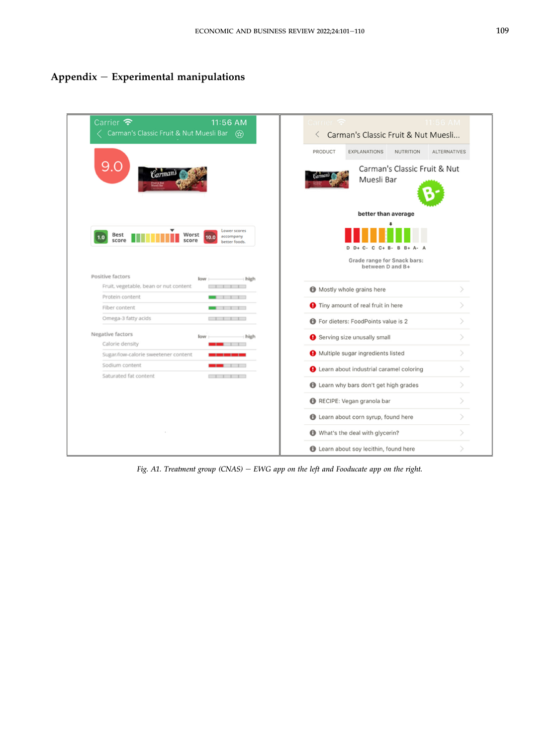## <span id="page-9-0"></span> $Appendix - Experimental$  manipulations

| 11:56 AM<br>Carrier $\epsilon$<br>Carman's Classic Fruit & Nut Muesli Bar (x)                                                                                                                     | 11:56 AM<br>amer<br>Carman's Classic Fruit & Nut Muesli<br>$\langle$      |
|---------------------------------------------------------------------------------------------------------------------------------------------------------------------------------------------------|---------------------------------------------------------------------------|
|                                                                                                                                                                                                   | PRODUCT<br><b>EXPLANATIONS</b><br><b>NUTRITION</b><br><b>ALTERNATIVES</b> |
| 9.0<br>Carmans                                                                                                                                                                                    | Carman's Classic Fruit & Nut<br>Muesli Bar                                |
|                                                                                                                                                                                                   | better than average                                                       |
| Lower scores<br><b>Best</b><br>Worst<br>accompany<br>10.0<br>1.0<br>score<br>score<br>better foods.                                                                                               | $C - C C + B - B B + A$                                                   |
|                                                                                                                                                                                                   | Grade range for Snack bars:<br>between D and B+                           |
| Positive factors<br>high<br>low                                                                                                                                                                   |                                                                           |
| Fruit, vegetable, bean or nut content<br>$\blacksquare$                                                                                                                                           | Mostly whole grains here                                                  |
| Protein content<br>111                                                                                                                                                                            | <b>O</b> Tiny amount of real fruit in here                                |
| Fiber content<br>1111                                                                                                                                                                             |                                                                           |
| Omega-3 fatty acids<br>$\Box$                                                                                                                                                                     | <b>f</b> For dieters: FoodPoints value is 2                               |
| Negative factors<br>high<br>low                                                                                                                                                                   | $\mathcal{P}$<br>Serving size unusally small                              |
| Calorie density                                                                                                                                                                                   | ⋋                                                                         |
| Sugar/low-calorie sweetener content                                                                                                                                                               | Multiple sugar ingredients listed                                         |
| Sodium content<br>Saturated fat content<br>$\begin{array}{ccc} \begin{array}{ccc} \end{array} & \begin{array}{ccc} \end{array} & \begin{array}{ccc} \end{array} & \begin{array}{ccc} \end{array}$ | <b>Q</b> Learn about industrial caramel coloring                          |
|                                                                                                                                                                                                   | <b>t</b> Learn why bars don't get high grades                             |
|                                                                                                                                                                                                   | $\geq$<br>RECIPE: Vegan granola bar                                       |
|                                                                                                                                                                                                   | <b>th</b> Learn about corn syrup, found here                              |
|                                                                                                                                                                                                   | What's the deal with glycerin?                                            |
|                                                                                                                                                                                                   | <b>t</b> Learn about soy lecithin, found here                             |

Fig. A1. Treatment group  $(CNAS)$  - EWG app on the left and Fooducate app on the right.